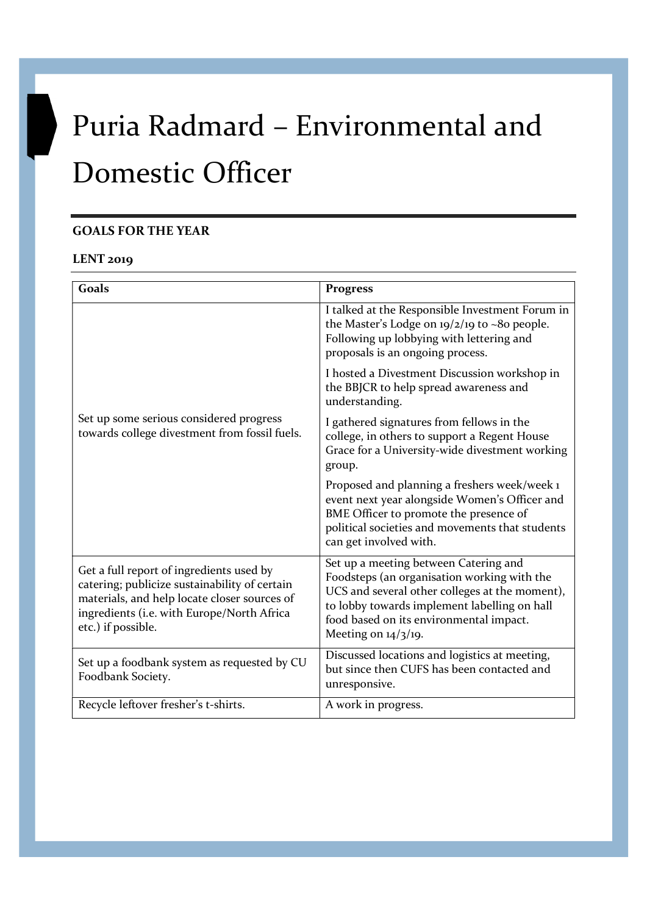# Puria Radmard – Environmental and Domestic Officer

## GOALS FOR THE YEAR

#### LENT 2019

| Goals                                                                                                                                                                                                         | <b>Progress</b>                                                                                                                                                                                                                                                      |
|---------------------------------------------------------------------------------------------------------------------------------------------------------------------------------------------------------------|----------------------------------------------------------------------------------------------------------------------------------------------------------------------------------------------------------------------------------------------------------------------|
| Set up some serious considered progress<br>towards college divestment from fossil fuels.                                                                                                                      | I talked at the Responsible Investment Forum in<br>the Master's Lodge on 19/2/19 to ~80 people.<br>Following up lobbying with lettering and<br>proposals is an ongoing process.                                                                                      |
|                                                                                                                                                                                                               | I hosted a Divestment Discussion workshop in<br>the BBJCR to help spread awareness and<br>understanding.                                                                                                                                                             |
|                                                                                                                                                                                                               | I gathered signatures from fellows in the<br>college, in others to support a Regent House<br>Grace for a University-wide divestment working<br>group.                                                                                                                |
|                                                                                                                                                                                                               | Proposed and planning a freshers week/week 1<br>event next year alongside Women's Officer and<br>BME Officer to promote the presence of<br>political societies and movements that students<br>can get involved with.                                                 |
| Get a full report of ingredients used by<br>catering; publicize sustainability of certain<br>materials, and help locate closer sources of<br>ingredients (i.e. with Europe/North Africa<br>etc.) if possible. | Set up a meeting between Catering and<br>Foodsteps (an organisation working with the<br>UCS and several other colleges at the moment),<br>to lobby towards implement labelling on hall<br>food based on its environmental impact.<br>Meeting on $\frac{1}{4}$ /3/19. |
| Set up a foodbank system as requested by CU<br>Foodbank Society.                                                                                                                                              | Discussed locations and logistics at meeting,<br>but since then CUFS has been contacted and<br>unresponsive.                                                                                                                                                         |
| Recycle leftover fresher's t-shirts.                                                                                                                                                                          | A work in progress.                                                                                                                                                                                                                                                  |